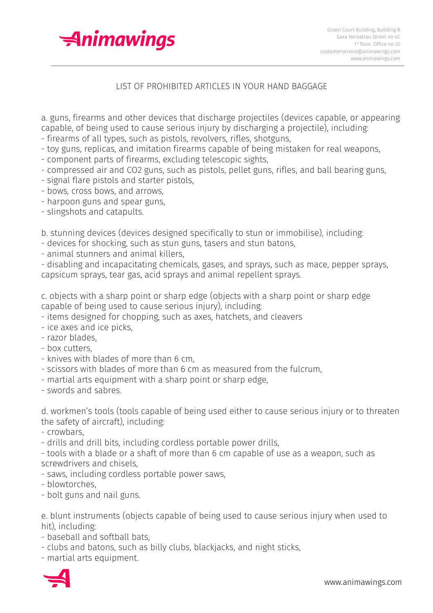

## LIST OF PROHIBITED ARTICLES IN YOUR HAND BAGGAGE

a. guns, firearms and other devices that discharge projectiles (devices capable, or appearing capable, of being used to cause serious injury by discharging a projectile), including:

- firearms of all types, such as pistols, revolvers, rifles, shotguns,

- toy guns, replicas, and imitation firearms capable of being mistaken for real weapons,

- component parts of firearms, excluding telescopic sights,
- compressed air and CO2 guns, such as pistols, pellet guns, rifles, and ball bearing guns,
- signal flare pistols and starter pistols,
- bows, cross bows, and arrows,
- harpoon guns and spear guns,
- slingshots and catapults.

b. stunning devices (devices designed specifically to stun or immobilise), including:

- devices for shocking, such as stun guns, tasers and stun batons,
- animal stunners and animal killers,

- disabling and incapacitating chemicals, gases, and sprays, such as mace, pepper sprays, capsicum sprays, tear gas, acid sprays and animal repellent sprays.

c. objects with a sharp point or sharp edge (objects with a sharp point or sharp edge capable of being used to cause serious injury), including:

- items designed for chopping, such as axes, hatchets, and cleavers
- ice axes and ice picks,
- razor blades,
- box cutters,
- knives with blades of more than 6 cm,
- scissors with blades of more than 6 cm as measured from the fulcrum,
- martial arts equipment with a sharp point or sharp edge,
- swords and sabres.

d. workmen's tools (tools capable of being used either to cause serious injury or to threaten the safety of aircraft), including:

- crowbars,
- drills and drill bits, including cordless portable power drills,

- tools with a blade or a shaft of more than 6 cm capable of use as a weapon, such as screwdrivers and chisels,

- saws, including cordless portable power saws,
- blowtorches,
- bolt guns and nail guns.

e. blunt instruments (objects capable of being used to cause serious injury when used to hit), including:

- baseball and softball bats,
- clubs and batons, such as billy clubs, blackjacks, and night sticks,
- martial arts equipment.